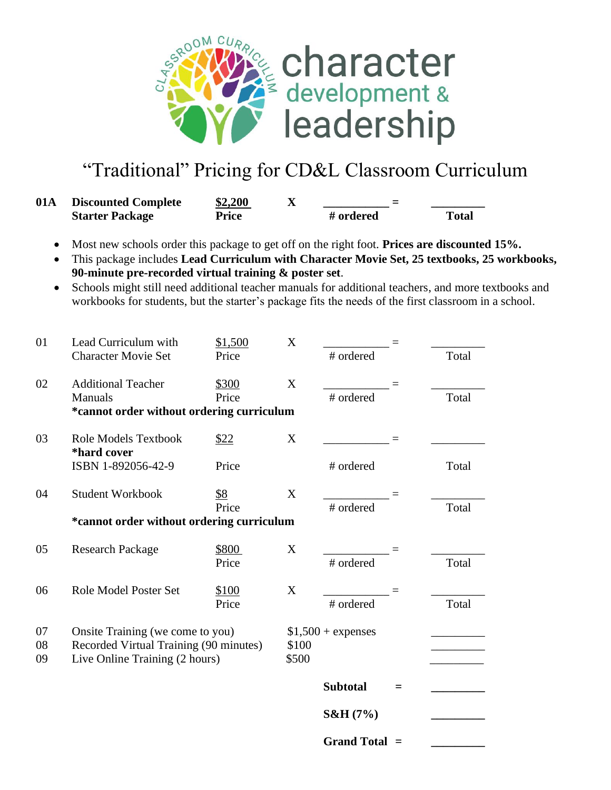

## "Traditional" Pricing for CD&L Classroom Curriculum

| 01A | <b>Discounted Complete</b> | \$2,200 | Δ | _<br>_    |              |  |
|-----|----------------------------|---------|---|-----------|--------------|--|
|     | <b>Starter Package</b>     | Price   |   | # ordered | <b>Total</b> |  |

- Most new schools order this package to get off on the right foot. **Prices are discounted 15%.**
- This package includes **Lead Curriculum with Character Movie Set, 25 textbooks, 25 workbooks, 90-minute pre-recorded virtual training & poster set**.
- Schools might still need additional teacher manuals for additional teachers, and more textbooks and workbooks for students, but the starter's package fits the needs of the first classroom in a school.

| 01 | Lead Curriculum with                       | \$1,500 | X     |                     |   |       |
|----|--------------------------------------------|---------|-------|---------------------|---|-------|
|    | <b>Character Movie Set</b>                 | Price   |       | # ordered           |   | Total |
| 02 | <b>Additional Teacher</b>                  | \$300   | X     |                     |   |       |
|    | Manuals                                    | Price   |       | # ordered           |   | Total |
|    | *cannot order without ordering curriculum  |         |       |                     |   |       |
| 03 | <b>Role Models Textbook</b><br>*hard cover | \$22    | X     |                     |   |       |
|    | ISBN 1-892056-42-9                         | Price   |       | # ordered           |   | Total |
| 04 | <b>Student Workbook</b>                    | \$8     | X     |                     |   |       |
|    |                                            | Price   |       | # ordered           |   | Total |
|    | *cannot order without ordering curriculum  |         |       |                     |   |       |
| 05 | <b>Research Package</b>                    | \$800   | X     |                     |   |       |
|    |                                            | Price   |       | # ordered           |   | Total |
| 06 | Role Model Poster Set                      | \$100   | X     |                     |   |       |
|    |                                            | Price   |       | # ordered           |   | Total |
| 07 | Onsite Training (we come to you)           |         |       | $$1,500 + expenses$ |   |       |
| 08 | Recorded Virtual Training (90 minutes)     |         | \$100 |                     |   |       |
| 09 | Live Online Training (2 hours)             |         | \$500 |                     |   |       |
|    |                                            |         |       | <b>Subtotal</b>     | = |       |
|    |                                            |         |       | $S&H(7\%)$          |   |       |
|    |                                            |         |       | <b>Grand Total</b>  |   |       |